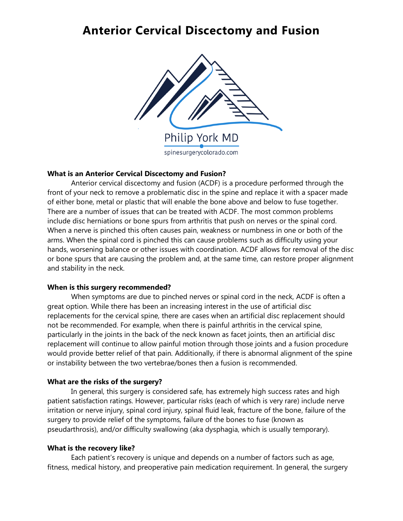## **Anterior Cervical Discectomy and Fusion**



## **What is an Anterior Cervical Discectomy and Fusion?**

Anterior cervical discectomy and fusion (ACDF) is a procedure performed through the front of your neck to remove a problematic disc in the spine and replace it with a spacer made of either bone, metal or plastic that will enable the bone above and below to fuse together. There are a number of issues that can be treated with ACDF. The most common problems include disc herniations or bone spurs from arthritis that push on nerves or the spinal cord. When a nerve is pinched this often causes pain, weakness or numbness in one or both of the arms. When the spinal cord is pinched this can cause problems such as difficulty using your hands, worsening balance or other issues with coordination. ACDF allows for removal of the disc or bone spurs that are causing the problem and, at the same time, can restore proper alignment and stability in the neck.

### **When is this surgery recommended?**

When symptoms are due to pinched nerves or spinal cord in the neck, ACDF is often a great option. While there has been an increasing interest in the use of artificial disc replacements for the cervical spine, there are cases when an artificial disc replacement should not be recommended. For example, when there is painful arthritis in the cervical spine, particularly in the joints in the back of the neck known as facet joints, then an artificial disc replacement will continue to allow painful motion through those joints and a fusion procedure would provide better relief of that pain. Additionally, if there is abnormal alignment of the spine or instability between the two vertebrae/bones then a fusion is recommended.

## **What are the risks of the surgery?**

In general, this surgery is considered safe, has extremely high success rates and high patient satisfaction ratings. However, particular risks (each of which is very rare) include nerve irritation or nerve injury, spinal cord injury, spinal fluid leak, fracture of the bone, failure of the surgery to provide relief of the symptoms, failure of the bones to fuse (known as pseudarthrosis), and/or difficulty swallowing (aka dysphagia, which is usually temporary).

### **What is the recovery like?**

Each patient's recovery is unique and depends on a number of factors such as age, fitness, medical history, and preoperative pain medication requirement. In general, the surgery